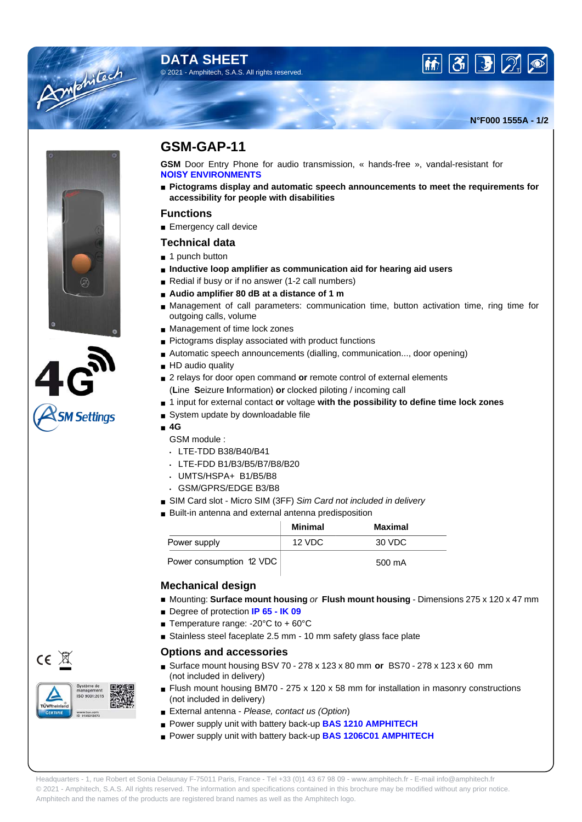## **DATA SHEET** © 2021 - Amphitech, S.A.S. All rights reserved.





Amtehitach



 $CE \times$ 

# **GSM-GAP-11**

**GSM** Door Entry Phone for audio transmission, « hands-free », vandal-resistant for **NOISY ENVIRONMENTS**

■ Pictograms display and automatic speech announcements to meet the requirements for **accessibility for people with disabilities**

### **Functions**

■ Emergency call device

### **Technical data**

- 1 punch button
- **Inductive loop amplifier as communication aid for hearing aid users**
- Redial if busy or if no answer (1-2 call numbers)
- Audio amplifier 80 dB at a distance of 1 m
- Management of call parameters: communication time, button activation time, ring time for outgoing calls, volume
- Management of time lock zones
- Pictograms display associated with product functions
- Automatic speech announcements (dialling, communication..., door opening)
- HD audio quality
- 2 relays for door open command or remote control of external elements (**L**ine **S**eizure **I**nformation) **or** clocked piloting / incoming call
- 1 input for external contact **or** voltage **with the possibility to define time lock zones**
- System update by downloadable file
- **4G**
	- GSM module :
	- LTE-TDD B38/B40/B41
	- LTE-FDD B1/B3/B5/B7/B8/B20
	- UMTS/HSPA+ B1/B5/B8
	- GSM/GPRS/EDGE B3/B8
	- SIM Card slot Micro SIM (3FF) Sim Card not included in delivery
	- Built-in antenna and external antenna predisposition

|                          | <b>Minimal</b> | Maximal |
|--------------------------|----------------|---------|
| Power supply             | 12 VDC         | 30 VDC  |
| Power consumption 12 VDC |                | 500 mA  |

### **Mechanical design**

- Mounting: **Surface mount housing** or **Flush mount housing** Dimensions 275 x 120 x 47 mm
- Degree of protection **IP 65 IK 09**
- Temperature range: -20°C to + 60°C
- Stainless steel faceplate 2.5 mm 10 mm safety glass face plate

#### **Options and accessories**

- Surface mount housing BSV 70 278 x 123 x 80 mm **or** BS70 278 x 123 x 60 mm (not included in delivery)
- Flush mount housing BM70 275 x 120 x 58 mm for installation in masonry constructions (not included in delivery)
- External antenna Please, contact us (Option)
- Power supply unit with battery back-up **BAS 1210 AMPHITECH**
- Power supply unit with battery back-up **BAS 1206C01 AMPHITECH**